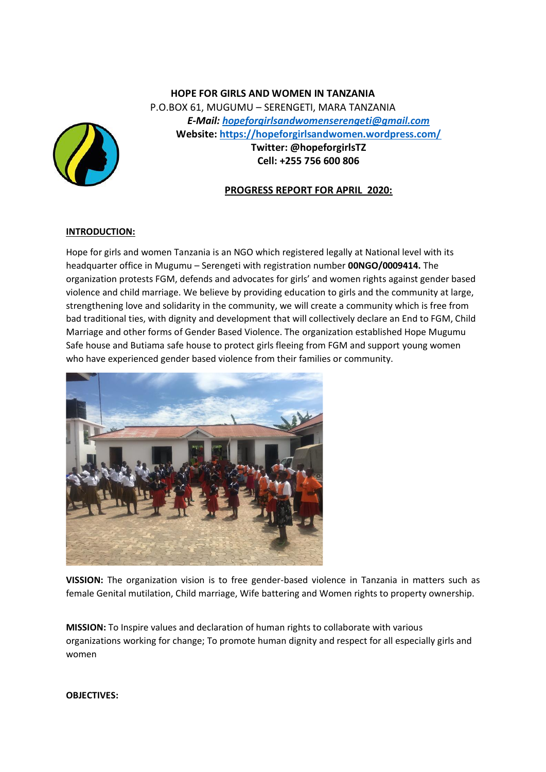# **HOPE FOR GIRLS AND WOMEN IN TANZANIA** P.O.BOX 61, MUGUMU – SERENGETI, MARA TANZANIA *E-Mail: [hopeforgirlsandwomenserengeti@gmail.com](mailto:hopeforgirlsandwomenserengeti@gmail.com)* **Website: <https://hopeforgirlsandwomen.wordpress.com/> Twitter: @hopeforgirlsTZ Cell: +255 756 600 806**



## **INTRODUCTION:**

Hope for girls and women Tanzania is an NGO which registered legally at National level with its headquarter office in Mugumu – Serengeti with registration number **00NGO/0009414.** The organization protests FGM, defends and advocates for girls' and women rights against gender based violence and child marriage. We believe by providing education to girls and the community at large, strengthening love and solidarity in the community, we will create a community which is free from bad traditional ties, with dignity and development that will collectively declare an End to FGM, Child Marriage and other forms of Gender Based Violence. The organization established Hope Mugumu Safe house and Butiama safe house to protect girls fleeing from FGM and support young women who have experienced gender based violence from their families or community.



**VISSION:** The organization vision is to free gender-based violence in Tanzania in matters such as female Genital mutilation, Child marriage, Wife battering and Women rights to property ownership.

**MISSION:** To Inspire values and declaration of human rights to collaborate with various organizations working for change; To promote human dignity and respect for all especially girls and women

**OBJECTIVES:**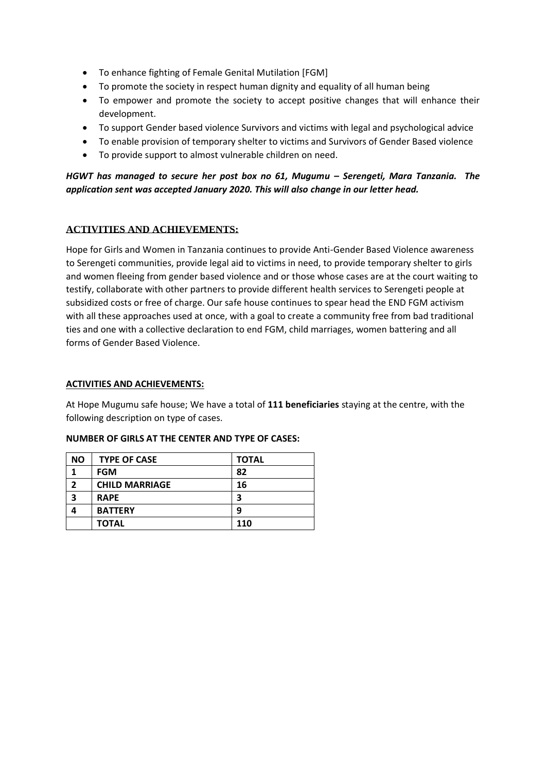- To enhance fighting of Female Genital Mutilation [FGM]
- To promote the society in respect human dignity and equality of all human being
- To empower and promote the society to accept positive changes that will enhance their development.
- To support Gender based violence Survivors and victims with legal and psychological advice
- To enable provision of temporary shelter to victims and Survivors of Gender Based violence
- To provide support to almost vulnerable children on need.

## *HGWT has managed to secure her post box no 61, Mugumu – Serengeti, Mara Tanzania. The application sent was accepted January 2020. This will also change in our letter head.*

#### **ACTIVITIES AND ACHIEVEMENTS:**

Hope for Girls and Women in Tanzania continues to provide Anti-Gender Based Violence awareness to Serengeti communities, provide legal aid to victims in need, to provide temporary shelter to girls and women fleeing from gender based violence and or those whose cases are at the court waiting to testify, collaborate with other partners to provide different health services to Serengeti people at subsidized costs or free of charge. Our safe house continues to spear head the END FGM activism with all these approaches used at once, with a goal to create a community free from bad traditional ties and one with a collective declaration to end FGM, child marriages, women battering and all forms of Gender Based Violence.

#### **ACTIVITIES AND ACHIEVEMENTS:**

At Hope Mugumu safe house; We have a total of **111 beneficiaries** staying at the centre, with the following description on type of cases.

| <b>NO</b> | <b>TYPE OF CASE</b>   | <b>TOTAL</b> |
|-----------|-----------------------|--------------|
|           | <b>FGM</b>            | 82           |
| 2         | <b>CHILD MARRIAGE</b> | 16           |
| 3         | <b>RAPE</b>           | 3            |
|           | <b>BATTERY</b>        | 9            |
|           | <b>TOTAL</b>          | 110          |

#### **NUMBER OF GIRLS AT THE CENTER AND TYPE OF CASES:**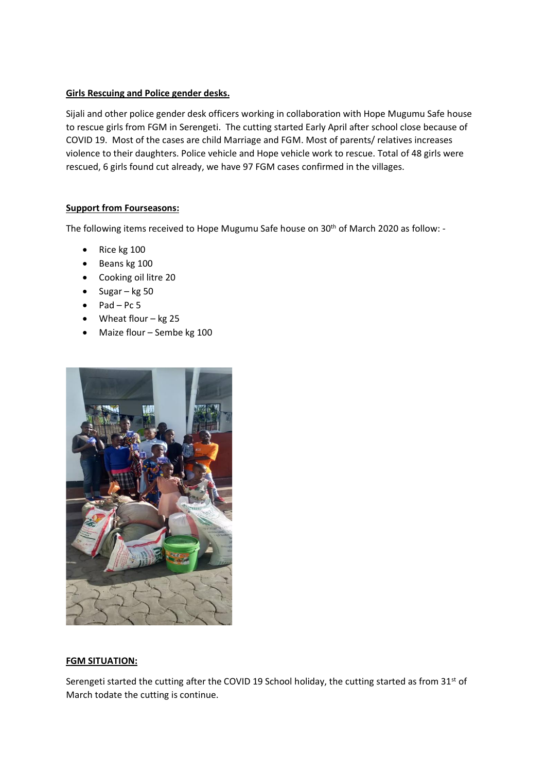### **Girls Rescuing and Police gender desks.**

Sijali and other police gender desk officers working in collaboration with Hope Mugumu Safe house to rescue girls from FGM in Serengeti. The cutting started Early April after school close because of COVID 19. Most of the cases are child Marriage and FGM. Most of parents/ relatives increases violence to their daughters. Police vehicle and Hope vehicle work to rescue. Total of 48 girls were rescued, 6 girls found cut already, we have 97 FGM cases confirmed in the villages.

### **Support from Fourseasons:**

The following items received to Hope Mugumu Safe house on 30<sup>th</sup> of March 2020 as follow: -

- Rice kg 100
- Beans kg 100
- Cooking oil litre 20
- Sugar kg 50
- $\bullet$  Pad Pc 5
- Wheat flour kg 25
- Maize flour Sembe kg 100



#### **FGM SITUATION:**

Serengeti started the cutting after the COVID 19 School holiday, the cutting started as from  $31^{st}$  of March todate the cutting is continue.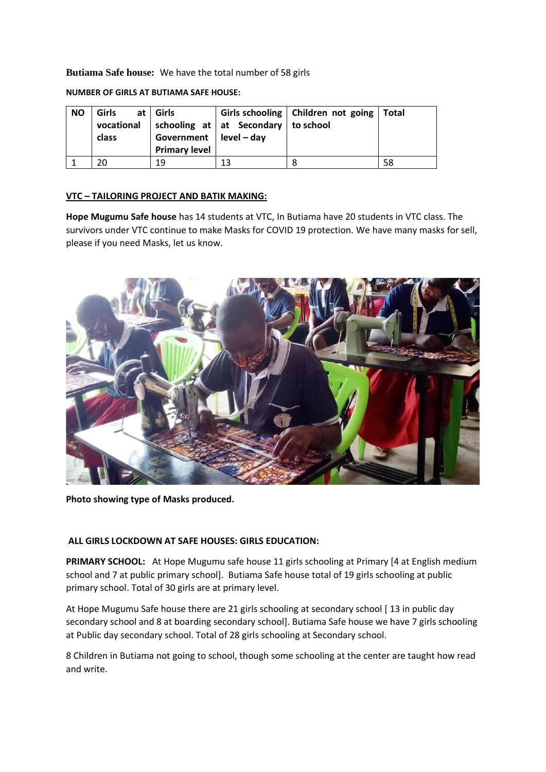**Butiama Safe house:** We have the total number of 58 girls

**NUMBER OF GIRLS AT BUTIAMA SAFE HOUSE:**

| <b>NO</b> | <b>Girls</b><br>vocational<br>class | at   Girls<br>Government $ $ level – day<br><b>Primary level</b> | $\vert$ schooling at $\vert$ at Secondary $\vert$ to school | Girls schooling   Children not going   Total |    |
|-----------|-------------------------------------|------------------------------------------------------------------|-------------------------------------------------------------|----------------------------------------------|----|
|           |                                     | 19                                                               | 13                                                          |                                              | 58 |

### **VTC – TAILORING PROJECT AND BATIK MAKING:**

**Hope Mugumu Safe house** has 14 students at VTC, In Butiama have 20 students in VTC class. The survivors under VTC continue to make Masks for COVID 19 protection. We have many masks for sell, please if you need Masks, let us know.



**Photo showing type of Masks produced.**

#### **ALL GIRLS LOCKDOWN AT SAFE HOUSES: GIRLS EDUCATION:**

**PRIMARY SCHOOL:** At Hope Mugumu safe house 11 girls schooling at Primary [4 at English medium school and 7 at public primary school]. Butiama Safe house total of 19 girls schooling at public primary school. Total of 30 girls are at primary level.

At Hope Mugumu Safe house there are 21 girls schooling at secondary school [13 in public day secondary school and 8 at boarding secondary school]. Butiama Safe house we have 7 girls schooling at Public day secondary school. Total of 28 girls schooling at Secondary school.

8 Children in Butiama not going to school, though some schooling at the center are taught how read and write.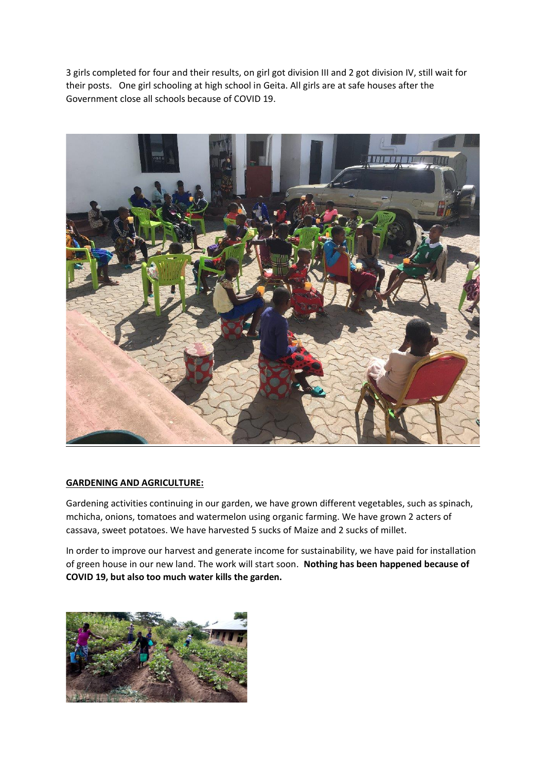3 girls completed for four and their results, on girl got division III and 2 got division IV, still wait for their posts. One girl schooling at high school in Geita. All girls are at safe houses after the Government close all schools because of COVID 19.



#### **GARDENING AND AGRICULTURE:**

Gardening activities continuing in our garden, we have grown different vegetables, such as spinach, mchicha, onions, tomatoes and watermelon using organic farming. We have grown 2 acters of cassava, sweet potatoes. We have harvested 5 sucks of Maize and 2 sucks of millet.

In order to improve our harvest and generate income for sustainability, we have paid for installation of green house in our new land. The work will start soon. **Nothing has been happened because of COVID 19, but also too much water kills the garden.**

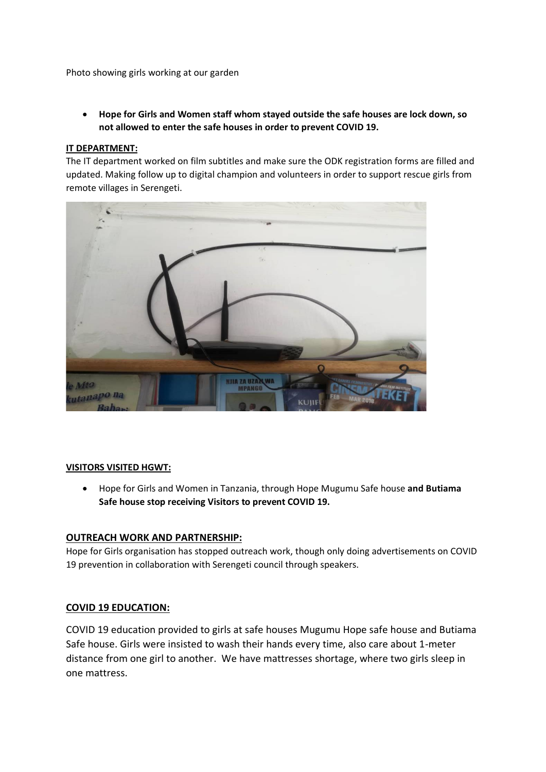Photo showing girls working at our garden

• **Hope for Girls and Women staff whom stayed outside the safe houses are lock down, so not allowed to enter the safe houses in order to prevent COVID 19.**

### **IT DEPARTMENT:**

The IT department worked on film subtitles and make sure the ODK registration forms are filled and updated. Making follow up to digital champion and volunteers in order to support rescue girls from remote villages in Serengeti.



#### **VISITORS VISITED HGWT:**

• Hope for Girls and Women in Tanzania, through Hope Mugumu Safe house **and Butiama Safe house stop receiving Visitors to prevent COVID 19.**

## **OUTREACH WORK AND PARTNERSHIP:**

Hope for Girls organisation has stopped outreach work, though only doing advertisements on COVID 19 prevention in collaboration with Serengeti council through speakers.

## **COVID 19 EDUCATION:**

COVID 19 education provided to girls at safe houses Mugumu Hope safe house and Butiama Safe house. Girls were insisted to wash their hands every time, also care about 1-meter distance from one girl to another. We have mattresses shortage, where two girls sleep in one mattress.